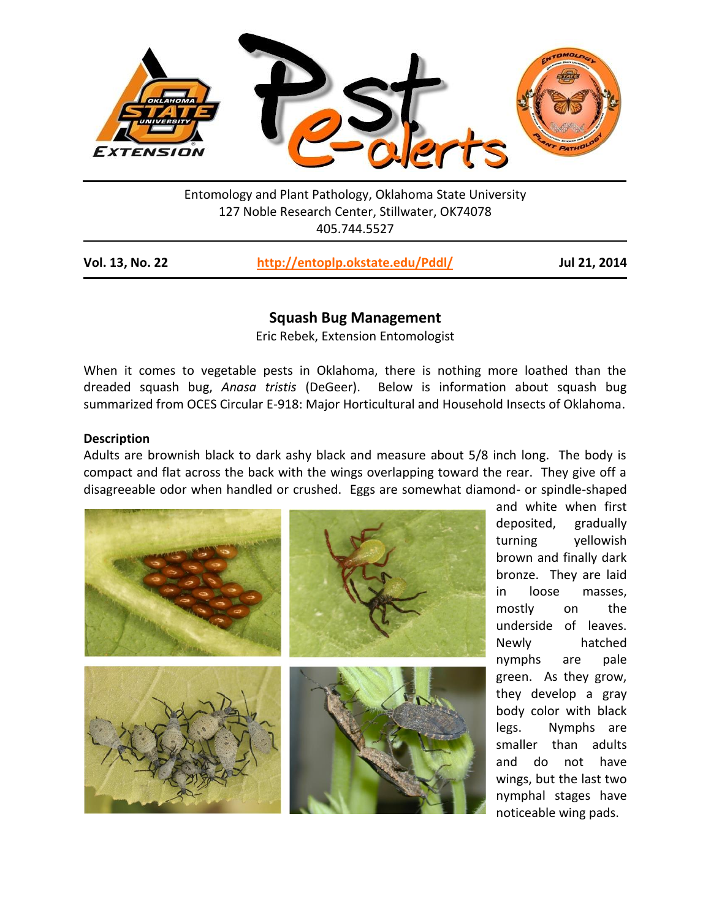

Entomology and Plant Pathology, Oklahoma State University 127 Noble Research Center, Stillwater, OK74078 405.744.5527

| <b>Vol. 13, No. 22</b> | http://entoplp.okstate.edu/Pddl/ | Jul 21, 2014 |
|------------------------|----------------------------------|--------------|
|------------------------|----------------------------------|--------------|

# **Squash Bug Management**

Eric Rebek, Extension Entomologist

When it comes to vegetable pests in Oklahoma, there is nothing more loathed than the dreaded squash bug, *Anasa tristis* (DeGeer). Below is information about squash bug summarized from OCES Circular E-918: Major Horticultural and Household Insects of Oklahoma.

### **Description**

Adults are brownish black to dark ashy black and measure about 5/8 inch long. The body is compact and flat across the back with the wings overlapping toward the rear. They give off a disagreeable odor when handled or crushed. Eggs are somewhat diamond- or spindle-shaped



and white when first deposited, gradually turning yellowish brown and finally dark bronze. They are laid in loose masses, mostly on the underside of leaves. Newly hatched nymphs are pale green. As they grow, they develop a gray body color with black legs. Nymphs are smaller than adults and do not have wings, but the last two nymphal stages have noticeable wing pads.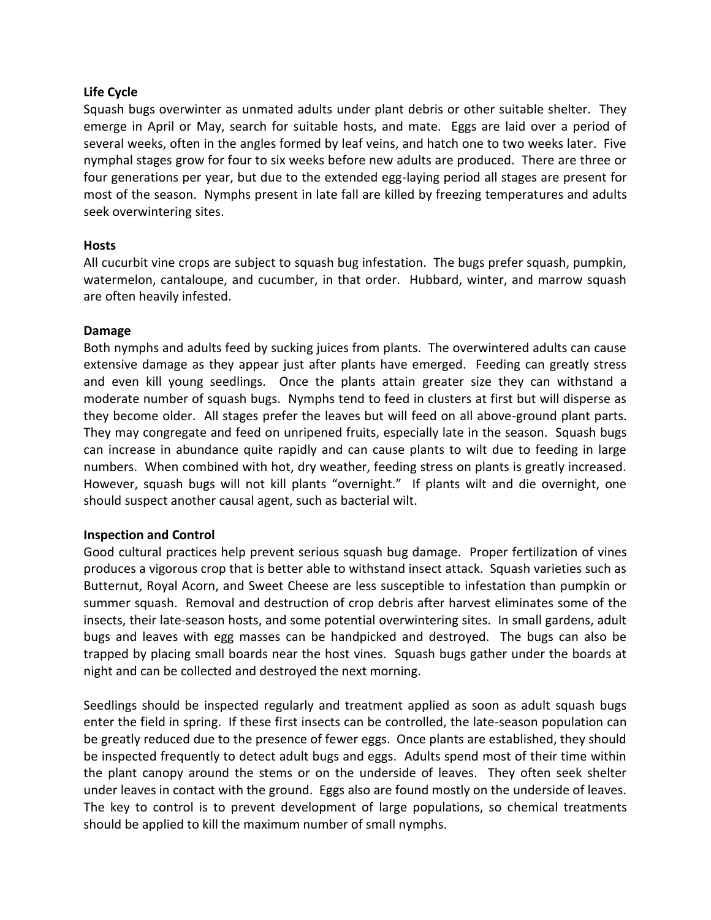# **Life Cycle**

Squash bugs overwinter as unmated adults under plant debris or other suitable shelter. They emerge in April or May, search for suitable hosts, and mate. Eggs are laid over a period of several weeks, often in the angles formed by leaf veins, and hatch one to two weeks later. Five nymphal stages grow for four to six weeks before new adults are produced. There are three or four generations per year, but due to the extended egg-laying period all stages are present for most of the season. Nymphs present in late fall are killed by freezing temperatures and adults seek overwintering sites.

# **Hosts**

All cucurbit vine crops are subject to squash bug infestation. The bugs prefer squash, pumpkin, watermelon, cantaloupe, and cucumber, in that order. Hubbard, winter, and marrow squash are often heavily infested.

# **Damage**

Both nymphs and adults feed by sucking juices from plants. The overwintered adults can cause extensive damage as they appear just after plants have emerged. Feeding can greatly stress and even kill young seedlings. Once the plants attain greater size they can withstand a moderate number of squash bugs. Nymphs tend to feed in clusters at first but will disperse as they become older. All stages prefer the leaves but will feed on all above-ground plant parts. They may congregate and feed on unripened fruits, especially late in the season. Squash bugs can increase in abundance quite rapidly and can cause plants to wilt due to feeding in large numbers. When combined with hot, dry weather, feeding stress on plants is greatly increased. However, squash bugs will not kill plants "overnight." If plants wilt and die overnight, one should suspect another causal agent, such as bacterial wilt.

# **Inspection and Control**

Good cultural practices help prevent serious squash bug damage. Proper fertilization of vines produces a vigorous crop that is better able to withstand insect attack. Squash varieties such as Butternut, Royal Acorn, and Sweet Cheese are less susceptible to infestation than pumpkin or summer squash. Removal and destruction of crop debris after harvest eliminates some of the insects, their late-season hosts, and some potential overwintering sites. In small gardens, adult bugs and leaves with egg masses can be handpicked and destroyed. The bugs can also be trapped by placing small boards near the host vines. Squash bugs gather under the boards at night and can be collected and destroyed the next morning.

Seedlings should be inspected regularly and treatment applied as soon as adult squash bugs enter the field in spring. If these first insects can be controlled, the late-season population can be greatly reduced due to the presence of fewer eggs. Once plants are established, they should be inspected frequently to detect adult bugs and eggs. Adults spend most of their time within the plant canopy around the stems or on the underside of leaves. They often seek shelter under leaves in contact with the ground. Eggs also are found mostly on the underside of leaves. The key to control is to prevent development of large populations, so chemical treatments should be applied to kill the maximum number of small nymphs.